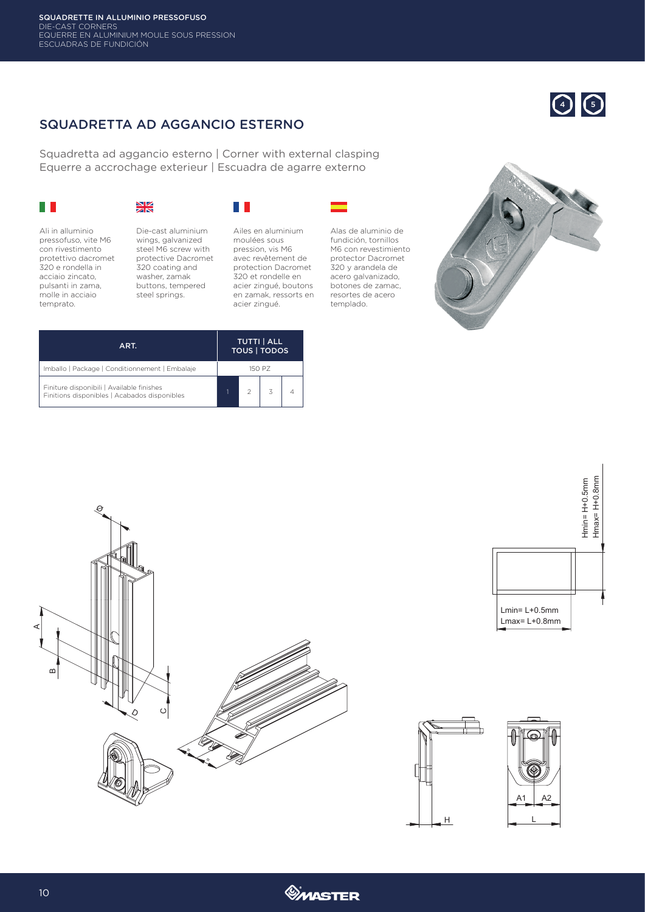## SQUADRETTA AD AGGANCIO ESTERNO

Squadretta ad aggancio esterno | Corner with external clasping Equerre a accrochage exterieur | Escuadra de agarre externo

|  | and the state of the state of the state of the state of the state of the state of the state of the state of th        |
|--|-----------------------------------------------------------------------------------------------------------------------|
|  |                                                                                                                       |
|  |                                                                                                                       |
|  | <b>Contract Contract Contract Contract Contract Contract Contract Contract Contract Contract Contract Contract Co</b> |

## XK

Ali in alluminio pressofuso, vite M6 con rivestimento protettivo dacromet 320 e rondella in acciaio zincato, pulsanti in zama, molle in acciaio temprato.



wings, galvanized steel M6 screw with protective Dacromet 320 coating and washer, zamak buttons, tempered steel springs.

## 



Ailes en aluminium moulées sous pression, vis M6 avec revêtement de protection Dacromet 320 et rondelle en acier zingué, boutons en zamak, ressorts en acier zingué.

Alas de aluminio de fundición, tornillos M6 con revestimiento protector Dacromet 320 y arandela de acero galvanizado, botones de zamac, resortes de acero templado.



**4 5** 

| ART.                                                                                      | <b>TUTTI   ALL</b><br><b>TOUS   TODOS</b> |  |  |  |  |
|-------------------------------------------------------------------------------------------|-------------------------------------------|--|--|--|--|
| Imballo   Package   Conditionnement   Embalaje                                            | 150 PZ                                    |  |  |  |  |
| Finiture disponibili   Available finishes<br>Finitions disponibles   Acabados disponibles |                                           |  |  |  |  |